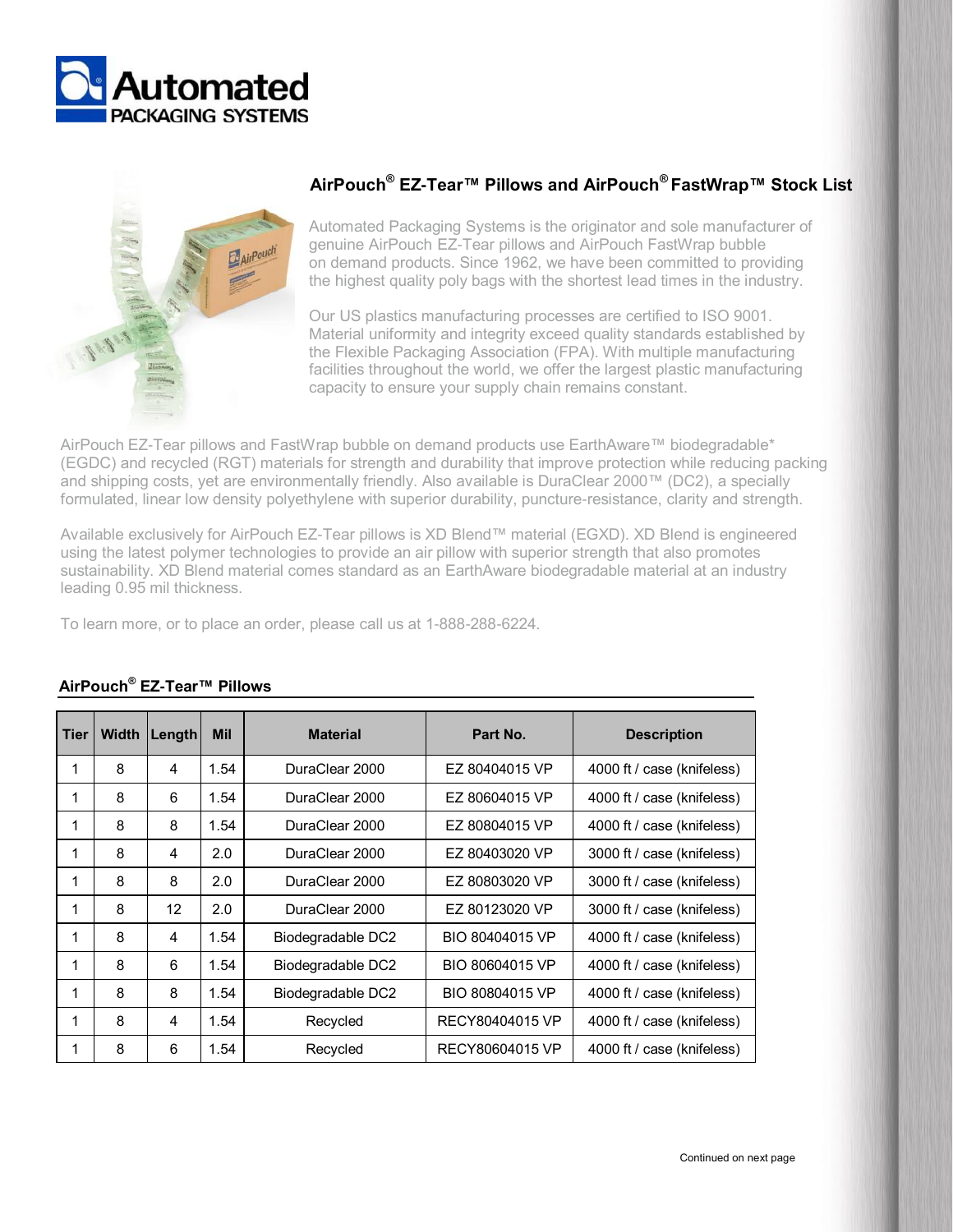



## **AirPouch® EZ-Tear™ Pillows and AirPouch® FastWrap™ Stock List**

Automated Packaging Systems is the originator and sole manufacturer of genuine AirPouch EZ-Tear pillows and AirPouch FastWrap bubble on demand products. Since 1962, we have been committed to providing the highest quality poly bags with the shortest lead times in the industry.

Our US plastics manufacturing processes are certified to ISO 9001. Material uniformity and integrity exceed quality standards established by the Flexible Packaging Association (FPA). With multiple manufacturing facilities throughout the world, we offer the largest plastic manufacturing capacity to ensure your supply chain remains constant.

AirPouch EZ-Tear pillows and FastWrap bubble on demand products use EarthAware™ biodegradable\* (EGDC) and recycled (RGT) materials for strength and durability that improve protection while reducing packing and shipping costs, yet are environmentally friendly. Also available is DuraClear 2000™ (DC2), a specially formulated, linear low density polyethylene with superior durability, puncture-resistance, clarity and strength.

Available exclusively for AirPouch EZ-Tear pillows is XD Blend™ material (EGXD). XD Blend is engineered using the latest polymer technologies to provide an air pillow with superior strength that also promotes sustainability. XD Blend material comes standard as an EarthAware biodegradable material at an industry leading 0.95 mil thickness.

To learn more, or to place an order, please call us at 1-888-288-6224.

| Tier | Width | Length | <b>Mil</b> | <b>Material</b>                  | Part No.        | <b>Description</b>         |  |
|------|-------|--------|------------|----------------------------------|-----------------|----------------------------|--|
| 1    | 8     | 4      | 1.54       | DuraClear 2000<br>EZ 80404015 VP |                 | 4000 ft / case (knifeless) |  |
| 1    | 8     | 6      | 1.54       | DuraClear 2000                   | EZ 80604015 VP  | 4000 ft / case (knifeless) |  |
| 1    | 8     | 8      | 1.54       | DuraClear 2000                   | EZ 80804015 VP  | 4000 ft / case (knifeless) |  |
| 1    | 8     | 4      | 2.0        | DuraClear 2000                   | EZ 80403020 VP  | 3000 ft / case (knifeless) |  |
| 1    | 8     | 8      | 2.0        | DuraClear 2000                   | EZ 80803020 VP  | 3000 ft / case (knifeless) |  |
| 1    | 8     | 12     | 2.0        | DuraClear 2000                   | EZ 80123020 VP  | 3000 ft / case (knifeless) |  |
| 1    | 8     | 4      | 1.54       | Biodegradable DC2                | BIO 80404015 VP | 4000 ft / case (knifeless) |  |
| 1    | 8     | 6      | 1.54       | Biodegradable DC2                | BIO 80604015 VP | 4000 ft / case (knifeless) |  |
| 1    | 8     | 8      | 1.54       | Biodegradable DC2                | BIO 80804015 VP | 4000 ft / case (knifeless) |  |
| 1    | 8     | 4      | 1.54       | Recycled                         | RECY80404015 VP | 4000 ft / case (knifeless) |  |
| 1    | 8     | 6      | 1.54       | Recycled                         | RECY80604015 VP | 4000 ft / case (knifeless) |  |

## **AirPouch® EZ-Tear™ Pillows**